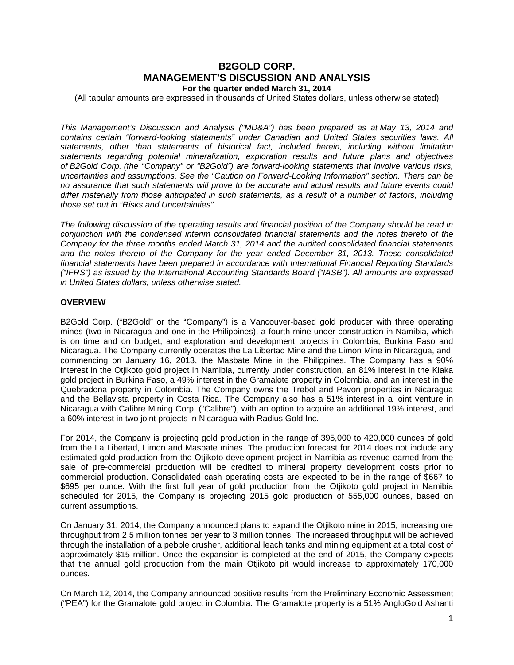# **B2GOLD CORP. MANAGEMENT'S DISCUSSION AND ANALYSIS For the quarter ended March 31, 2014**

(All tabular amounts are expressed in thousands of United States dollars, unless otherwise stated)

*This Management's Discussion and Analysis ("MD&A") has been prepared as at May 13, 2014 and contains certain "forward-looking statements" under Canadian and United States securities laws. All statements, other than statements of historical fact, included herein, including without limitation statements regarding potential mineralization, exploration results and future plans and objectives of B2Gold Corp. (the "Company" or "B2Gold") are forward-looking statements that involve various risks, uncertainties and assumptions. See the "Caution on Forward-Looking Information" section. There can be no assurance that such statements will prove to be accurate and actual results and future events could differ materially from those anticipated in such statements, as a result of a number of factors, including those set out in "Risks and Uncertainties".* 

*The following discussion of the operating results and financial position of the Company should be read in conjunction with the condensed interim consolidated financial statements and the notes thereto of the Company for the three months ended March 31, 2014 and the audited consolidated financial statements and the notes thereto of the Company for the year ended December 31, 2013. These consolidated financial statements have been prepared in accordance with International Financial Reporting Standards ("IFRS") as issued by the International Accounting Standards Board ("IASB"). All amounts are expressed in United States dollars, unless otherwise stated.* 

#### **OVERVIEW**

B2Gold Corp. ("B2Gold" or the "Company") is a Vancouver-based gold producer with three operating mines (two in Nicaragua and one in the Philippines), a fourth mine under construction in Namibia, which is on time and on budget, and exploration and development projects in Colombia, Burkina Faso and Nicaragua. The Company currently operates the La Libertad Mine and the Limon Mine in Nicaragua, and, commencing on January 16, 2013, the Masbate Mine in the Philippines. The Company has a 90% interest in the Otjikoto gold project in Namibia, currently under construction, an 81% interest in the Kiaka gold project in Burkina Faso, a 49% interest in the Gramalote property in Colombia, and an interest in the Quebradona property in Colombia. The Company owns the Trebol and Pavon properties in Nicaragua and the Bellavista property in Costa Rica. The Company also has a 51% interest in a joint venture in Nicaragua with Calibre Mining Corp. ("Calibre"), with an option to acquire an additional 19% interest, and a 60% interest in two joint projects in Nicaragua with Radius Gold Inc.

For 2014, the Company is projecting gold production in the range of 395,000 to 420,000 ounces of gold from the La Libertad, Limon and Masbate mines. The production forecast for 2014 does not include any estimated gold production from the Otjikoto development project in Namibia as revenue earned from the sale of pre-commercial production will be credited to mineral property development costs prior to commercial production. Consolidated cash operating costs are expected to be in the range of \$667 to \$695 per ounce. With the first full year of gold production from the Otjikoto gold project in Namibia scheduled for 2015, the Company is projecting 2015 gold production of 555,000 ounces, based on current assumptions.

On January 31, 2014, the Company announced plans to expand the Otjikoto mine in 2015, increasing ore throughput from 2.5 million tonnes per year to 3 million tonnes. The increased throughput will be achieved through the installation of a pebble crusher, additional leach tanks and mining equipment at a total cost of approximately \$15 million. Once the expansion is completed at the end of 2015, the Company expects that the annual gold production from the main Otjikoto pit would increase to approximately 170,000 ounces.

On March 12, 2014, the Company announced positive results from the Preliminary Economic Assessment ("PEA") for the Gramalote gold project in Colombia. The Gramalote property is a 51% AngloGold Ashanti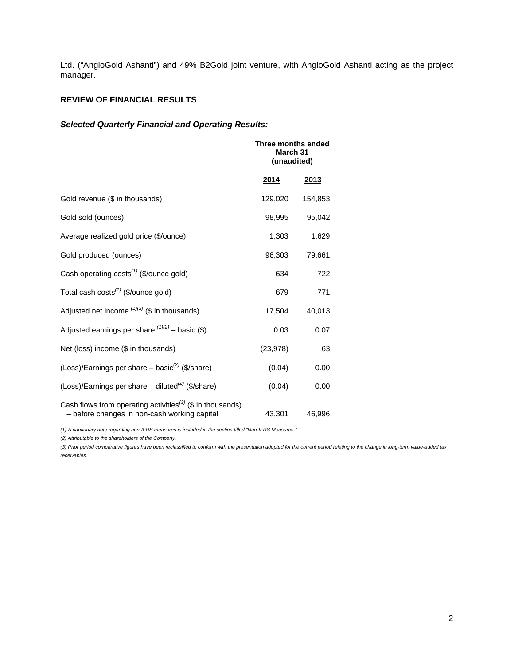Ltd. ("AngloGold Ashanti") and 49% B2Gold joint venture, with AngloGold Ashanti acting as the project manager.

# **REVIEW OF FINANCIAL RESULTS**

# *Selected Quarterly Financial and Operating Results:*

|                                                                                                                       | Three months ended<br>March 31<br>(unaudited) |         |
|-----------------------------------------------------------------------------------------------------------------------|-----------------------------------------------|---------|
|                                                                                                                       | <u>2014</u>                                   | 2013    |
| Gold revenue (\$ in thousands)                                                                                        | 129,020                                       | 154,853 |
| Gold sold (ounces)                                                                                                    | 98,995                                        | 95,042  |
| Average realized gold price (\$/ounce)                                                                                | 1,303                                         | 1,629   |
| Gold produced (ounces)                                                                                                | 96,303                                        | 79,661  |
| Cash operating $costs^{(1)}$ (\$/ounce gold)                                                                          | 634                                           | 722     |
| Total cash costs <sup>(1)</sup> (\$/ounce gold)                                                                       | 679                                           | 771     |
| Adjusted net income $(1)(2)$ (\$ in thousands)                                                                        | 17,504                                        | 40,013  |
| Adjusted earnings per share $(1)(2)$ – basic (\$)                                                                     | 0.03                                          | 0.07    |
| Net (loss) income (\$ in thousands)                                                                                   | (23, 978)                                     | 63      |
| (Loss)/Earnings per share – basic <sup>(2)</sup> (\$/share)                                                           | (0.04)                                        | 0.00    |
| (Loss)/Earnings per share – diluted <sup>(2)</sup> (\$/share)                                                         | (0.04)                                        | 0.00    |
| Cash flows from operating activities <sup>(3)</sup> (\$ in thousands)<br>- before changes in non-cash working capital | 43,301                                        | 46,996  |

*(1) A cautionary note regarding non-IFRS measures is included in the section titled "Non-IFRS Measures."* 

*(2) Attributable to the shareholders of the Company.* 

*(3) Prior period comparative figures have been reclassified to conform with the presentation adopted for the current period relating to the change in long-term value-added tax receivables.*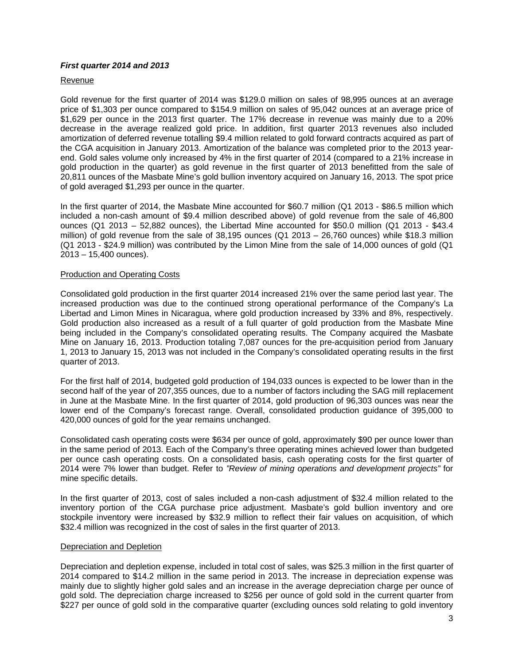# *First quarter 2014 and 2013*

#### Revenue

Gold revenue for the first quarter of 2014 was \$129.0 million on sales of 98,995 ounces at an average price of \$1,303 per ounce compared to \$154.9 million on sales of 95,042 ounces at an average price of \$1,629 per ounce in the 2013 first quarter. The 17% decrease in revenue was mainly due to a 20% decrease in the average realized gold price. In addition, first quarter 2013 revenues also included amortization of deferred revenue totalling \$9.4 million related to gold forward contracts acquired as part of the CGA acquisition in January 2013. Amortization of the balance was completed prior to the 2013 yearend. Gold sales volume only increased by 4% in the first quarter of 2014 (compared to a 21% increase in gold production in the quarter) as gold revenue in the first quarter of 2013 benefitted from the sale of 20,811 ounces of the Masbate Mine's gold bullion inventory acquired on January 16, 2013. The spot price of gold averaged \$1,293 per ounce in the quarter.

In the first quarter of 2014, the Masbate Mine accounted for \$60.7 million (Q1 2013 - \$86.5 million which included a non-cash amount of \$9.4 million described above) of gold revenue from the sale of 46,800 ounces (Q1 2013 – 52,882 ounces), the Libertad Mine accounted for \$50.0 million (Q1 2013 - \$43.4 million) of gold revenue from the sale of 38,195 ounces (Q1 2013 – 26,760 ounces) while \$18.3 million (Q1 2013 - \$24.9 million) was contributed by the Limon Mine from the sale of 14,000 ounces of gold (Q1 2013 – 15,400 ounces).

#### Production and Operating Costs

Consolidated gold production in the first quarter 2014 increased 21% over the same period last year. The increased production was due to the continued strong operational performance of the Company's La Libertad and Limon Mines in Nicaragua, where gold production increased by 33% and 8%, respectively. Gold production also increased as a result of a full quarter of gold production from the Masbate Mine being included in the Company's consolidated operating results. The Company acquired the Masbate Mine on January 16, 2013. Production totaling 7,087 ounces for the pre-acquisition period from January 1, 2013 to January 15, 2013 was not included in the Company's consolidated operating results in the first quarter of 2013.

For the first half of 2014, budgeted gold production of 194,033 ounces is expected to be lower than in the second half of the year of 207,355 ounces, due to a number of factors including the SAG mill replacement in June at the Masbate Mine. In the first quarter of 2014, gold production of 96,303 ounces was near the lower end of the Company's forecast range. Overall, consolidated production guidance of 395,000 to 420,000 ounces of gold for the year remains unchanged.

Consolidated cash operating costs were \$634 per ounce of gold, approximately \$90 per ounce lower than in the same period of 2013. Each of the Company's three operating mines achieved lower than budgeted per ounce cash operating costs. On a consolidated basis, cash operating costs for the first quarter of 2014 were 7% lower than budget. Refer to *"Review of mining operations and development projects"* for mine specific details.

In the first quarter of 2013, cost of sales included a non-cash adjustment of \$32.4 million related to the inventory portion of the CGA purchase price adjustment. Masbate's gold bullion inventory and ore stockpile inventory were increased by \$32.9 million to reflect their fair values on acquisition, of which \$32.4 million was recognized in the cost of sales in the first quarter of 2013.

#### Depreciation and Depletion

Depreciation and depletion expense, included in total cost of sales, was \$25.3 million in the first quarter of 2014 compared to \$14.2 million in the same period in 2013. The increase in depreciation expense was mainly due to slightly higher gold sales and an increase in the average depreciation charge per ounce of gold sold. The depreciation charge increased to \$256 per ounce of gold sold in the current quarter from \$227 per ounce of gold sold in the comparative quarter (excluding ounces sold relating to gold inventory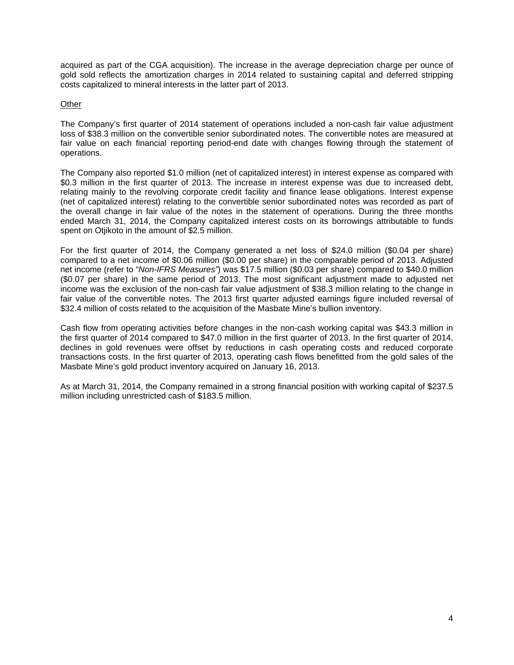acquired as part of the CGA acquisition). The increase in the average depreciation charge per ounce of gold sold reflects the amortization charges in 2014 related to sustaining capital and deferred stripping costs capitalized to mineral interests in the latter part of 2013.

# **Other**

The Company's first quarter of 2014 statement of operations included a non-cash fair value adjustment loss of \$38.3 million on the convertible senior subordinated notes. The convertible notes are measured at fair value on each financial reporting period-end date with changes flowing through the statement of operations.

The Company also reported \$1.0 million (net of capitalized interest) in interest expense as compared with \$0.3 million in the first quarter of 2013. The increase in interest expense was due to increased debt, relating mainly to the revolving corporate credit facility and finance lease obligations. Interest expense (net of capitalized interest) relating to the convertible senior subordinated notes was recorded as part of the overall change in fair value of the notes in the statement of operations. During the three months ended March 31, 2014, the Company capitalized interest costs on its borrowings attributable to funds spent on Otjikoto in the amount of \$2.5 million.

For the first quarter of 2014, the Company generated a net loss of \$24.0 million (\$0.04 per share) compared to a net income of \$0.06 million (\$0.00 per share) in the comparable period of 2013. Adjusted net income (refer to "*Non-IFRS Measures"*) was \$17.5 million (\$0.03 per share) compared to \$40.0 million (\$0.07 per share) in the same period of 2013. The most significant adjustment made to adjusted net income was the exclusion of the non-cash fair value adjustment of \$38.3 million relating to the change in fair value of the convertible notes. The 2013 first quarter adjusted earnings figure included reversal of \$32.4 million of costs related to the acquisition of the Masbate Mine's bullion inventory.

Cash flow from operating activities before changes in the non-cash working capital was \$43.3 million in the first quarter of 2014 compared to \$47.0 million in the first quarter of 2013. In the first quarter of 2014, declines in gold revenues were offset by reductions in cash operating costs and reduced corporate transactions costs. In the first quarter of 2013, operating cash flows benefitted from the gold sales of the Masbate Mine's gold product inventory acquired on January 16, 2013.

As at March 31, 2014, the Company remained in a strong financial position with working capital of \$237.5 million including unrestricted cash of \$183.5 million.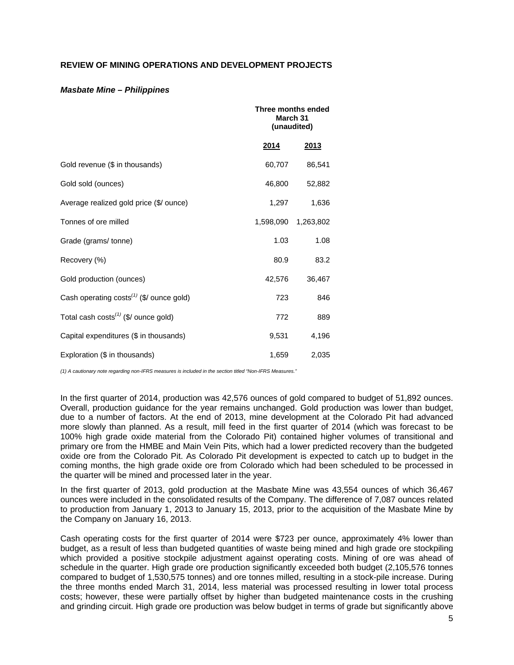# **REVIEW OF MINING OPERATIONS AND DEVELOPMENT PROJECTS**

#### *Masbate Mine – Philippines*

|                                                                   |           | Three months ended<br>March 31<br>(unaudited) |  |  |
|-------------------------------------------------------------------|-----------|-----------------------------------------------|--|--|
|                                                                   | 2014      | 2013                                          |  |  |
| Gold revenue (\$ in thousands)                                    | 60,707    | 86,541                                        |  |  |
| Gold sold (ounces)                                                | 46,800    | 52,882                                        |  |  |
| Average realized gold price (\$/ ounce)                           | 1,297     | 1,636                                         |  |  |
| Tonnes of ore milled                                              | 1,598,090 | 1,263,802                                     |  |  |
| Grade (grams/ tonne)                                              | 1.03      | 1.08                                          |  |  |
| Recovery (%)                                                      | 80.9      | 83.2                                          |  |  |
| Gold production (ounces)                                          | 42,576    | 36,467                                        |  |  |
| Cash operating costs <sup><math>(1)</math></sup> (\$/ ounce gold) | 723       | 846                                           |  |  |
| Total cash costs <sup><math>(1)</math></sup> (\$/ ounce gold)     | 772       | 889                                           |  |  |
| Capital expenditures (\$ in thousands)                            | 9,531     | 4,196                                         |  |  |
| Exploration (\$ in thousands)                                     | 1,659     | 2,035                                         |  |  |

*(1) A cautionary note regarding non-IFRS measures is included in the section titled "Non-IFRS Measures."* 

In the first quarter of 2014, production was 42,576 ounces of gold compared to budget of 51,892 ounces. Overall, production guidance for the year remains unchanged. Gold production was lower than budget, due to a number of factors. At the end of 2013, mine development at the Colorado Pit had advanced more slowly than planned. As a result, mill feed in the first quarter of 2014 (which was forecast to be 100% high grade oxide material from the Colorado Pit) contained higher volumes of transitional and primary ore from the HMBE and Main Vein Pits, which had a lower predicted recovery than the budgeted oxide ore from the Colorado Pit. As Colorado Pit development is expected to catch up to budget in the coming months, the high grade oxide ore from Colorado which had been scheduled to be processed in the quarter will be mined and processed later in the year.

In the first quarter of 2013, gold production at the Masbate Mine was 43,554 ounces of which 36,467 ounces were included in the consolidated results of the Company. The difference of 7,087 ounces related to production from January 1, 2013 to January 15, 2013, prior to the acquisition of the Masbate Mine by the Company on January 16, 2013.

Cash operating costs for the first quarter of 2014 were \$723 per ounce, approximately 4% lower than budget, as a result of less than budgeted quantities of waste being mined and high grade ore stockpiling which provided a positive stockpile adjustment against operating costs. Mining of ore was ahead of schedule in the quarter. High grade ore production significantly exceeded both budget (2,105,576 tonnes compared to budget of 1,530,575 tonnes) and ore tonnes milled, resulting in a stock-pile increase. During the three months ended March 31, 2014, less material was processed resulting in lower total process costs; however, these were partially offset by higher than budgeted maintenance costs in the crushing and grinding circuit. High grade ore production was below budget in terms of grade but significantly above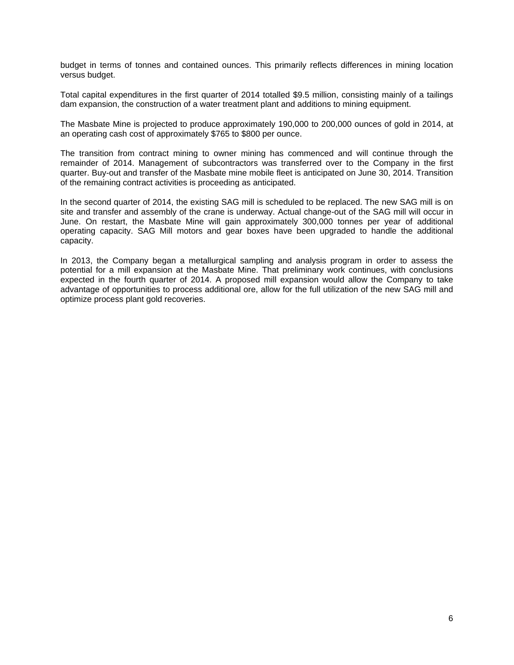budget in terms of tonnes and contained ounces. This primarily reflects differences in mining location versus budget.

Total capital expenditures in the first quarter of 2014 totalled \$9.5 million, consisting mainly of a tailings dam expansion, the construction of a water treatment plant and additions to mining equipment.

The Masbate Mine is projected to produce approximately 190,000 to 200,000 ounces of gold in 2014, at an operating cash cost of approximately \$765 to \$800 per ounce.

The transition from contract mining to owner mining has commenced and will continue through the remainder of 2014. Management of subcontractors was transferred over to the Company in the first quarter. Buy-out and transfer of the Masbate mine mobile fleet is anticipated on June 30, 2014. Transition of the remaining contract activities is proceeding as anticipated.

In the second quarter of 2014, the existing SAG mill is scheduled to be replaced. The new SAG mill is on site and transfer and assembly of the crane is underway. Actual change-out of the SAG mill will occur in June. On restart, the Masbate Mine will gain approximately 300,000 tonnes per year of additional operating capacity. SAG Mill motors and gear boxes have been upgraded to handle the additional capacity.

In 2013, the Company began a metallurgical sampling and analysis program in order to assess the potential for a mill expansion at the Masbate Mine. That preliminary work continues, with conclusions expected in the fourth quarter of 2014. A proposed mill expansion would allow the Company to take advantage of opportunities to process additional ore, allow for the full utilization of the new SAG mill and optimize process plant gold recoveries.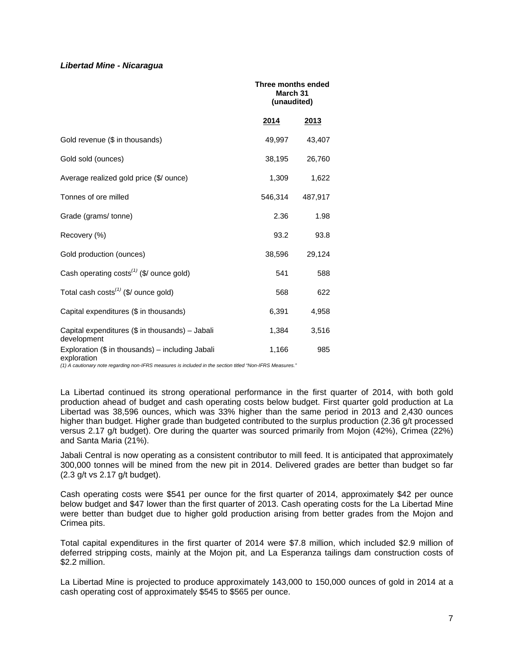#### *Libertad Mine - Nicaragua*

|                                                                   |               | Three months ended<br>March 31<br>(unaudited) |  |  |
|-------------------------------------------------------------------|---------------|-----------------------------------------------|--|--|
|                                                                   | <u> 2014 </u> | 2013                                          |  |  |
| Gold revenue (\$ in thousands)                                    | 49,997        | 43,407                                        |  |  |
| Gold sold (ounces)                                                | 38,195        | 26,760                                        |  |  |
| Average realized gold price (\$/ ounce)                           | 1,309         | 1,622                                         |  |  |
| Tonnes of ore milled                                              | 546,314       | 487,917                                       |  |  |
| Grade (grams/tonne)                                               | 2.36          | 1.98                                          |  |  |
| Recovery (%)                                                      | 93.2          | 93.8                                          |  |  |
| Gold production (ounces)                                          | 38,596        | 29,124                                        |  |  |
| Cash operating $costs^{(1)}$ (\$/ ounce gold)                     | 541           | 588                                           |  |  |
| Total cash costs <sup><math>(1)</math></sup> (\$/ ounce gold)     | 568           | 622                                           |  |  |
| Capital expenditures (\$ in thousands)                            | 6,391         | 4,958                                         |  |  |
| Capital expenditures (\$ in thousands) - Jabali<br>development    | 1,384         | 3,516                                         |  |  |
| Exploration $(\$$ in thousands) – including Jabali<br>exploration | 1,166         | 985                                           |  |  |

*(1) A cautionary note regarding non-IFRS measures is included in the section titled "Non-IFRS Measures."* 

La Libertad continued its strong operational performance in the first quarter of 2014, with both gold production ahead of budget and cash operating costs below budget. First quarter gold production at La Libertad was 38,596 ounces, which was 33% higher than the same period in 2013 and 2,430 ounces higher than budget. Higher grade than budgeted contributed to the surplus production (2.36 g/t processed versus 2.17 g/t budget). Ore during the quarter was sourced primarily from Mojon (42%), Crimea (22%) and Santa Maria (21%).

Jabali Central is now operating as a consistent contributor to mill feed. It is anticipated that approximately 300,000 tonnes will be mined from the new pit in 2014. Delivered grades are better than budget so far (2.3 g/t vs 2.17 g/t budget).

Cash operating costs were \$541 per ounce for the first quarter of 2014, approximately \$42 per ounce below budget and \$47 lower than the first quarter of 2013. Cash operating costs for the La Libertad Mine were better than budget due to higher gold production arising from better grades from the Mojon and Crimea pits.

Total capital expenditures in the first quarter of 2014 were \$7.8 million, which included \$2.9 million of deferred stripping costs, mainly at the Mojon pit, and La Esperanza tailings dam construction costs of \$2.2 million.

La Libertad Mine is projected to produce approximately 143,000 to 150,000 ounces of gold in 2014 at a cash operating cost of approximately \$545 to \$565 per ounce.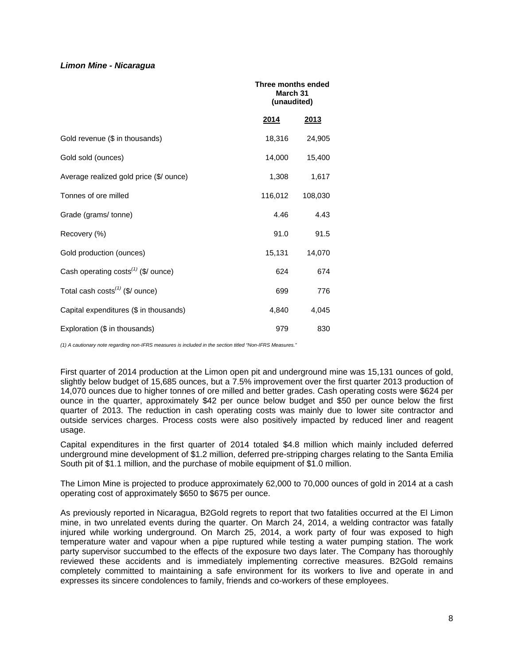#### *Limon Mine - Nicaragua*

|                                                          |             | Three months ended<br>March 31<br>(unaudited) |  |  |
|----------------------------------------------------------|-------------|-----------------------------------------------|--|--|
|                                                          | <u>2014</u> | <u>2013</u>                                   |  |  |
| Gold revenue (\$ in thousands)                           | 18,316      | 24,905                                        |  |  |
| Gold sold (ounces)                                       | 14,000      | 15,400                                        |  |  |
| Average realized gold price (\$/ ounce)                  | 1,308       | 1,617                                         |  |  |
| Tonnes of ore milled                                     | 116,012     | 108,030                                       |  |  |
| Grade (grams/ tonne)                                     | 4.46        | 4.43                                          |  |  |
| Recovery (%)                                             | 91.0        | 91.5                                          |  |  |
| Gold production (ounces)                                 | 15,131      | 14,070                                        |  |  |
| Cash operating costs $^{(1)}$ (\$/ ounce)                | 624         | 674                                           |  |  |
| Total cash costs <sup><math>(1)</math></sup> (\$/ ounce) | 699         | 776                                           |  |  |
| Capital expenditures (\$ in thousands)                   | 4,840       | 4,045                                         |  |  |
| Exploration (\$ in thousands)                            | 979         | 830                                           |  |  |

*(1) A cautionary note regarding non-IFRS measures is included in the section titled "Non-IFRS Measures."* 

First quarter of 2014 production at the Limon open pit and underground mine was 15,131 ounces of gold, slightly below budget of 15,685 ounces, but a 7.5% improvement over the first quarter 2013 production of 14,070 ounces due to higher tonnes of ore milled and better grades. Cash operating costs were \$624 per ounce in the quarter, approximately \$42 per ounce below budget and \$50 per ounce below the first quarter of 2013. The reduction in cash operating costs was mainly due to lower site contractor and outside services charges. Process costs were also positively impacted by reduced liner and reagent usage.

Capital expenditures in the first quarter of 2014 totaled \$4.8 million which mainly included deferred underground mine development of \$1.2 million, deferred pre-stripping charges relating to the Santa Emilia South pit of \$1.1 million, and the purchase of mobile equipment of \$1.0 million.

The Limon Mine is projected to produce approximately 62,000 to 70,000 ounces of gold in 2014 at a cash operating cost of approximately \$650 to \$675 per ounce.

As previously reported in Nicaragua, B2Gold regrets to report that two fatalities occurred at the El Limon mine, in two unrelated events during the quarter. On March 24, 2014, a welding contractor was fatally injured while working underground. On March 25, 2014, a work party of four was exposed to high temperature water and vapour when a pipe ruptured while testing a water pumping station. The work party supervisor succumbed to the effects of the exposure two days later. The Company has thoroughly reviewed these accidents and is immediately implementing corrective measures. B2Gold remains completely committed to maintaining a safe environment for its workers to live and operate in and expresses its sincere condolences to family, friends and co-workers of these employees.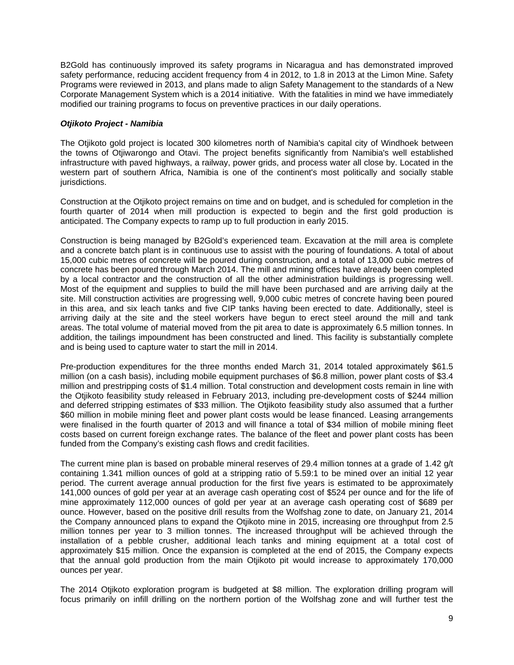B2Gold has continuously improved its safety programs in Nicaragua and has demonstrated improved safety performance, reducing accident frequency from 4 in 2012, to 1.8 in 2013 at the Limon Mine. Safety Programs were reviewed in 2013, and plans made to align Safety Management to the standards of a New Corporate Management System which is a 2014 initiative. With the fatalities in mind we have immediately modified our training programs to focus on preventive practices in our daily operations.

# *Otjikoto Project - Namibia*

The Otjikoto gold project is located 300 kilometres north of Namibia's capital city of Windhoek between the towns of Otjiwarongo and Otavi. The project benefits significantly from Namibia's well established infrastructure with paved highways, a railway, power grids, and process water all close by. Located in the western part of southern Africa, Namibia is one of the continent's most politically and socially stable jurisdictions.

Construction at the Otjikoto project remains on time and on budget, and is scheduled for completion in the fourth quarter of 2014 when mill production is expected to begin and the first gold production is anticipated. The Company expects to ramp up to full production in early 2015.

Construction is being managed by B2Gold's experienced team. Excavation at the mill area is complete and a concrete batch plant is in continuous use to assist with the pouring of foundations. A total of about 15,000 cubic metres of concrete will be poured during construction, and a total of 13,000 cubic metres of concrete has been poured through March 2014. The mill and mining offices have already been completed by a local contractor and the construction of all the other administration buildings is progressing well. Most of the equipment and supplies to build the mill have been purchased and are arriving daily at the site. Mill construction activities are progressing well, 9,000 cubic metres of concrete having been poured in this area, and six leach tanks and five CIP tanks having been erected to date. Additionally, steel is arriving daily at the site and the steel workers have begun to erect steel around the mill and tank areas. The total volume of material moved from the pit area to date is approximately 6.5 million tonnes. In addition, the tailings impoundment has been constructed and lined. This facility is substantially complete and is being used to capture water to start the mill in 2014.

Pre-production expenditures for the three months ended March 31, 2014 totaled approximately \$61.5 million (on a cash basis), including mobile equipment purchases of \$6.8 million, power plant costs of \$3.4 million and prestripping costs of \$1.4 million. Total construction and development costs remain in line with the Otjikoto feasibility study released in February 2013, including pre-development costs of \$244 million and deferred stripping estimates of \$33 million. The Otjikoto feasibility study also assumed that a further \$60 million in mobile mining fleet and power plant costs would be lease financed. Leasing arrangements were finalised in the fourth quarter of 2013 and will finance a total of \$34 million of mobile mining fleet costs based on current foreign exchange rates. The balance of the fleet and power plant costs has been funded from the Company's existing cash flows and credit facilities.

The current mine plan is based on probable mineral reserves of 29.4 million tonnes at a grade of 1.42 g/t containing 1.341 million ounces of gold at a stripping ratio of 5.59:1 to be mined over an initial 12 year period. The current average annual production for the first five years is estimated to be approximately 141,000 ounces of gold per year at an average cash operating cost of \$524 per ounce and for the life of mine approximately 112,000 ounces of gold per year at an average cash operating cost of \$689 per ounce. However, based on the positive drill results from the Wolfshag zone to date, on January 21, 2014 the Company announced plans to expand the Otjikoto mine in 2015, increasing ore throughput from 2.5 million tonnes per year to 3 million tonnes. The increased throughput will be achieved through the installation of a pebble crusher, additional leach tanks and mining equipment at a total cost of approximately \$15 million. Once the expansion is completed at the end of 2015, the Company expects that the annual gold production from the main Otjikoto pit would increase to approximately 170,000 ounces per year.

The 2014 Otjikoto exploration program is budgeted at \$8 million. The exploration drilling program will focus primarily on infill drilling on the northern portion of the Wolfshag zone and will further test the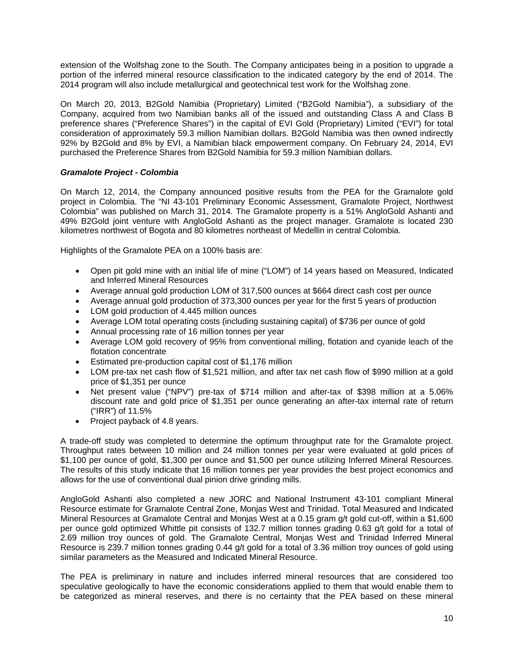extension of the Wolfshag zone to the South. The Company anticipates being in a position to upgrade a portion of the inferred mineral resource classification to the indicated category by the end of 2014. The 2014 program will also include metallurgical and geotechnical test work for the Wolfshag zone.

On March 20, 2013, B2Gold Namibia (Proprietary) Limited ("B2Gold Namibia"), a subsidiary of the Company, acquired from two Namibian banks all of the issued and outstanding Class A and Class B preference shares ("Preference Shares") in the capital of EVI Gold (Proprietary) Limited ("EVI") for total consideration of approximately 59.3 million Namibian dollars. B2Gold Namibia was then owned indirectly 92% by B2Gold and 8% by EVI, a Namibian black empowerment company. On February 24, 2014, EVI purchased the Preference Shares from B2Gold Namibia for 59.3 million Namibian dollars.

# *Gramalote Project - Colombia*

On March 12, 2014, the Company announced positive results from the PEA for the Gramalote gold project in Colombia. The "NI 43-101 Preliminary Economic Assessment, Gramalote Project, Northwest Colombia" was published on March 31, 2014. The Gramalote property is a 51% AngloGold Ashanti and 49% B2Gold joint venture with AngloGold Ashanti as the project manager. Gramalote is located 230 kilometres northwest of Bogota and 80 kilometres northeast of Medellin in central Colombia.

Highlights of the Gramalote PEA on a 100% basis are:

- Open pit gold mine with an initial life of mine ("LOM") of 14 years based on Measured, Indicated and Inferred Mineral Resources
- Average annual gold production LOM of 317,500 ounces at \$664 direct cash cost per ounce
- Average annual gold production of 373,300 ounces per year for the first 5 years of production
- LOM gold production of 4.445 million ounces
- Average LOM total operating costs (including sustaining capital) of \$736 per ounce of gold
- Annual processing rate of 16 million tonnes per year
- Average LOM gold recovery of 95% from conventional milling, flotation and cyanide leach of the flotation concentrate
- Estimated pre-production capital cost of \$1,176 million
- LOM pre-tax net cash flow of \$1,521 million, and after tax net cash flow of \$990 million at a gold price of \$1,351 per ounce
- Net present value ("NPV") pre-tax of \$714 million and after-tax of \$398 million at a 5.06% discount rate and gold price of \$1,351 per ounce generating an after-tax internal rate of return ("IRR") of 11.5%
- Project payback of 4.8 years.

A trade-off study was completed to determine the optimum throughput rate for the Gramalote project. Throughput rates between 10 million and 24 million tonnes per year were evaluated at gold prices of \$1,100 per ounce of gold, \$1,300 per ounce and \$1,500 per ounce utilizing Inferred Mineral Resources. The results of this study indicate that 16 million tonnes per year provides the best project economics and allows for the use of conventional dual pinion drive grinding mills.

AngloGold Ashanti also completed a new JORC and National Instrument 43-101 compliant Mineral Resource estimate for Gramalote Central Zone, Monjas West and Trinidad. Total Measured and Indicated Mineral Resources at Gramalote Central and Monjas West at a 0.15 gram g/t gold cut-off, within a \$1,600 per ounce gold optimized Whittle pit consists of 132.7 million tonnes grading 0.63 g/t gold for a total of 2.69 million troy ounces of gold. The Gramalote Central, Monjas West and Trinidad Inferred Mineral Resource is 239.7 million tonnes grading 0.44 g/t gold for a total of 3.36 million troy ounces of gold using similar parameters as the Measured and Indicated Mineral Resource.

The PEA is preliminary in nature and includes inferred mineral resources that are considered too speculative geologically to have the economic considerations applied to them that would enable them to be categorized as mineral reserves, and there is no certainty that the PEA based on these mineral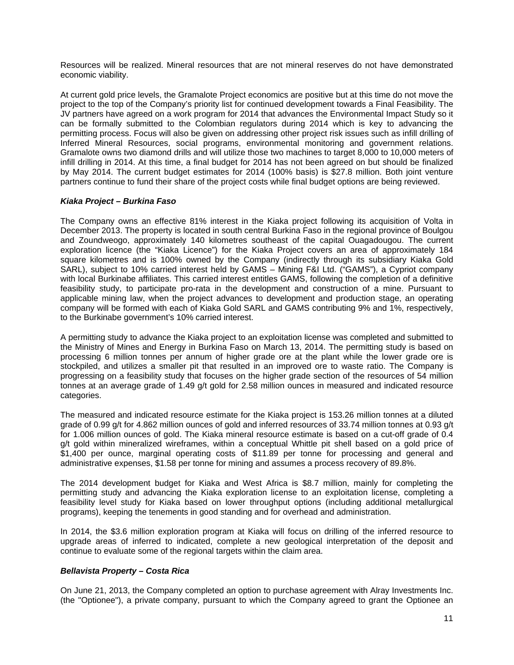Resources will be realized. Mineral resources that are not mineral reserves do not have demonstrated economic viability.

At current gold price levels, the Gramalote Project economics are positive but at this time do not move the project to the top of the Company's priority list for continued development towards a Final Feasibility. The JV partners have agreed on a work program for 2014 that advances the Environmental Impact Study so it can be formally submitted to the Colombian regulators during 2014 which is key to advancing the permitting process. Focus will also be given on addressing other project risk issues such as infill drilling of Inferred Mineral Resources, social programs, environmental monitoring and government relations. Gramalote owns two diamond drills and will utilize those two machines to target 8,000 to 10,000 meters of infill drilling in 2014. At this time, a final budget for 2014 has not been agreed on but should be finalized by May 2014. The current budget estimates for 2014 (100% basis) is \$27.8 million. Both joint venture partners continue to fund their share of the project costs while final budget options are being reviewed.

# *Kiaka Project – Burkina Faso*

The Company owns an effective 81% interest in the Kiaka project following its acquisition of Volta in December 2013. The property is located in south central Burkina Faso in the regional province of Boulgou and Zoundweogo, approximately 140 kilometres southeast of the capital Ouagadougou. The current exploration licence (the "Kiaka Licence") for the Kiaka Project covers an area of approximately 184 square kilometres and is 100% owned by the Company (indirectly through its subsidiary Kiaka Gold SARL), subject to 10% carried interest held by GAMS – Mining F&I Ltd. ("GAMS"), a Cypriot company with local Burkinabe affiliates. This carried interest entitles GAMS, following the completion of a definitive feasibility study, to participate pro-rata in the development and construction of a mine. Pursuant to applicable mining law, when the project advances to development and production stage, an operating company will be formed with each of Kiaka Gold SARL and GAMS contributing 9% and 1%, respectively, to the Burkinabe government's 10% carried interest.

A permitting study to advance the Kiaka project to an exploitation license was completed and submitted to the Ministry of Mines and Energy in Burkina Faso on March 13, 2014. The permitting study is based on processing 6 million tonnes per annum of higher grade ore at the plant while the lower grade ore is stockpiled, and utilizes a smaller pit that resulted in an improved ore to waste ratio. The Company is progressing on a feasibility study that focuses on the higher grade section of the resources of 54 million tonnes at an average grade of 1.49 g/t gold for 2.58 million ounces in measured and indicated resource categories.

The measured and indicated resource estimate for the Kiaka project is 153.26 million tonnes at a diluted grade of 0.99 g/t for 4.862 million ounces of gold and inferred resources of 33.74 million tonnes at 0.93 g/t for 1.006 million ounces of gold. The Kiaka mineral resource estimate is based on a cut-off grade of 0.4 g/t gold within mineralized wireframes, within a conceptual Whittle pit shell based on a gold price of \$1,400 per ounce, marginal operating costs of \$11.89 per tonne for processing and general and administrative expenses, \$1.58 per tonne for mining and assumes a process recovery of 89.8%.

The 2014 development budget for Kiaka and West Africa is \$8.7 million, mainly for completing the permitting study and advancing the Kiaka exploration license to an exploitation license, completing a feasibility level study for Kiaka based on lower throughput options (including additional metallurgical programs), keeping the tenements in good standing and for overhead and administration.

In 2014, the \$3.6 million exploration program at Kiaka will focus on drilling of the inferred resource to upgrade areas of inferred to indicated, complete a new geological interpretation of the deposit and continue to evaluate some of the regional targets within the claim area.

# *Bellavista Property – Costa Rica*

On June 21, 2013, the Company completed an option to purchase agreement with Alray Investments Inc. (the "Optionee"), a private company, pursuant to which the Company agreed to grant the Optionee an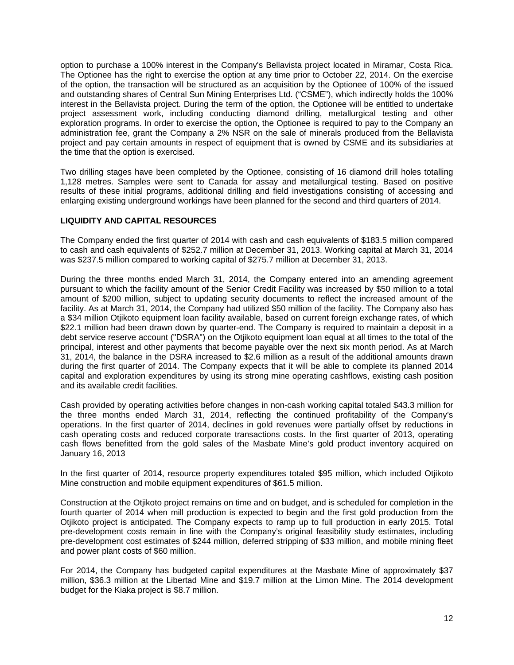option to purchase a 100% interest in the Company's Bellavista project located in Miramar, Costa Rica. The Optionee has the right to exercise the option at any time prior to October 22, 2014. On the exercise of the option, the transaction will be structured as an acquisition by the Optionee of 100% of the issued and outstanding shares of Central Sun Mining Enterprises Ltd. ("CSME"), which indirectly holds the 100% interest in the Bellavista project. During the term of the option, the Optionee will be entitled to undertake project assessment work, including conducting diamond drilling, metallurgical testing and other exploration programs. In order to exercise the option, the Optionee is required to pay to the Company an administration fee, grant the Company a 2% NSR on the sale of minerals produced from the Bellavista project and pay certain amounts in respect of equipment that is owned by CSME and its subsidiaries at the time that the option is exercised.

Two drilling stages have been completed by the Optionee, consisting of 16 diamond drill holes totalling 1,128 metres. Samples were sent to Canada for assay and metallurgical testing. Based on positive results of these initial programs, additional drilling and field investigations consisting of accessing and enlarging existing underground workings have been planned for the second and third quarters of 2014.

# **LIQUIDITY AND CAPITAL RESOURCES**

The Company ended the first quarter of 2014 with cash and cash equivalents of \$183.5 million compared to cash and cash equivalents of \$252.7 million at December 31, 2013. Working capital at March 31, 2014 was \$237.5 million compared to working capital of \$275.7 million at December 31, 2013.

During the three months ended March 31, 2014, the Company entered into an amending agreement pursuant to which the facility amount of the Senior Credit Facility was increased by \$50 million to a total amount of \$200 million, subject to updating security documents to reflect the increased amount of the facility. As at March 31, 2014, the Company had utilized \$50 million of the facility. The Company also has a \$34 million Otjikoto equipment loan facility available, based on current foreign exchange rates, of which \$22.1 million had been drawn down by quarter-end. The Company is required to maintain a deposit in a debt service reserve account ("DSRA") on the Otjikoto equipment loan equal at all times to the total of the principal, interest and other payments that become payable over the next six month period. As at March 31, 2014, the balance in the DSRA increased to \$2.6 million as a result of the additional amounts drawn during the first quarter of 2014. The Company expects that it will be able to complete its planned 2014 capital and exploration expenditures by using its strong mine operating cashflows, existing cash position and its available credit facilities.

Cash provided by operating activities before changes in non-cash working capital totaled \$43.3 million for the three months ended March 31, 2014, reflecting the continued profitability of the Company's operations. In the first quarter of 2014, declines in gold revenues were partially offset by reductions in cash operating costs and reduced corporate transactions costs. In the first quarter of 2013, operating cash flows benefitted from the gold sales of the Masbate Mine's gold product inventory acquired on January 16, 2013

In the first quarter of 2014, resource property expenditures totaled \$95 million, which included Otjikoto Mine construction and mobile equipment expenditures of \$61.5 million.

Construction at the Otjikoto project remains on time and on budget, and is scheduled for completion in the fourth quarter of 2014 when mill production is expected to begin and the first gold production from the Otjikoto project is anticipated. The Company expects to ramp up to full production in early 2015. Total pre-development costs remain in line with the Company's original feasibility study estimates, including pre-development cost estimates of \$244 million, deferred stripping of \$33 million, and mobile mining fleet and power plant costs of \$60 million.

For 2014, the Company has budgeted capital expenditures at the Masbate Mine of approximately \$37 million, \$36.3 million at the Libertad Mine and \$19.7 million at the Limon Mine. The 2014 development budget for the Kiaka project is \$8.7 million.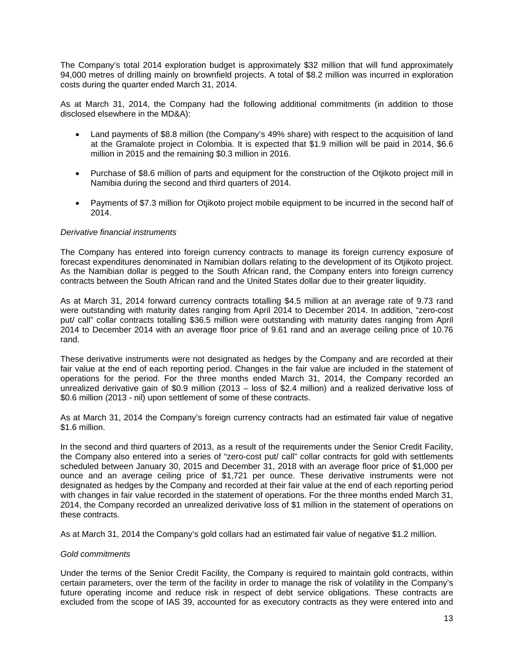The Company's total 2014 exploration budget is approximately \$32 million that will fund approximately 94,000 metres of drilling mainly on brownfield projects. A total of \$8.2 million was incurred in exploration costs during the quarter ended March 31, 2014.

As at March 31, 2014, the Company had the following additional commitments (in addition to those disclosed elsewhere in the MD&A):

- Land payments of \$8.8 million (the Company's 49% share) with respect to the acquisition of land at the Gramalote project in Colombia. It is expected that \$1.9 million will be paid in 2014, \$6.6 million in 2015 and the remaining \$0.3 million in 2016.
- Purchase of \$8.6 million of parts and equipment for the construction of the Otjikoto project mill in Namibia during the second and third quarters of 2014.
- Payments of \$7.3 million for Otjikoto project mobile equipment to be incurred in the second half of 2014.

#### *Derivative financial instruments*

The Company has entered into foreign currency contracts to manage its foreign currency exposure of forecast expenditures denominated in Namibian dollars relating to the development of its Otjikoto project. As the Namibian dollar is pegged to the South African rand, the Company enters into foreign currency contracts between the South African rand and the United States dollar due to their greater liquidity.

As at March 31, 2014 forward currency contracts totalling \$4.5 million at an average rate of 9.73 rand were outstanding with maturity dates ranging from April 2014 to December 2014. In addition, "zero-cost put/ call" collar contracts totalling \$36.5 million were outstanding with maturity dates ranging from April 2014 to December 2014 with an average floor price of 9.61 rand and an average ceiling price of 10.76 rand.

These derivative instruments were not designated as hedges by the Company and are recorded at their fair value at the end of each reporting period. Changes in the fair value are included in the statement of operations for the period. For the three months ended March 31, 2014, the Company recorded an unrealized derivative gain of \$0.9 million (2013 – loss of \$2.4 million) and a realized derivative loss of \$0.6 million (2013 - nil) upon settlement of some of these contracts.

As at March 31, 2014 the Company's foreign currency contracts had an estimated fair value of negative \$1.6 million.

In the second and third quarters of 2013, as a result of the requirements under the Senior Credit Facility, the Company also entered into a series of "zero-cost put/ call" collar contracts for gold with settlements scheduled between January 30, 2015 and December 31, 2018 with an average floor price of \$1,000 per ounce and an average ceiling price of \$1,721 per ounce. These derivative instruments were not designated as hedges by the Company and recorded at their fair value at the end of each reporting period with changes in fair value recorded in the statement of operations. For the three months ended March 31, 2014, the Company recorded an unrealized derivative loss of \$1 million in the statement of operations on these contracts.

As at March 31, 2014 the Company's gold collars had an estimated fair value of negative \$1.2 million.

#### *Gold commitments*

Under the terms of the Senior Credit Facility, the Company is required to maintain gold contracts, within certain parameters, over the term of the facility in order to manage the risk of volatility in the Company's future operating income and reduce risk in respect of debt service obligations. These contracts are excluded from the scope of IAS 39, accounted for as executory contracts as they were entered into and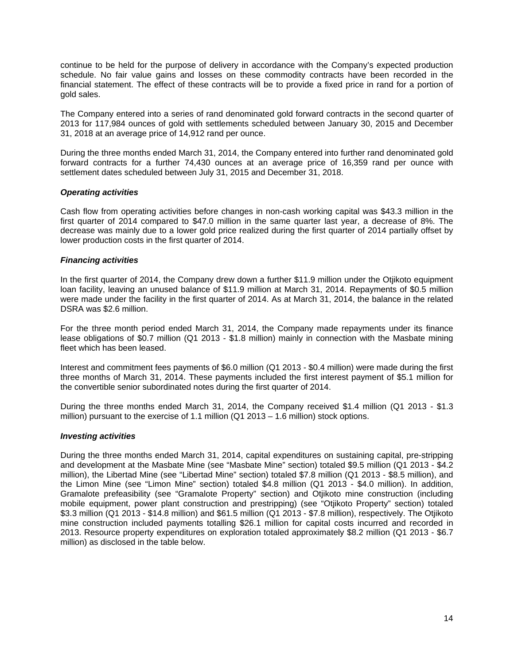continue to be held for the purpose of delivery in accordance with the Company's expected production schedule. No fair value gains and losses on these commodity contracts have been recorded in the financial statement. The effect of these contracts will be to provide a fixed price in rand for a portion of gold sales.

The Company entered into a series of rand denominated gold forward contracts in the second quarter of 2013 for 117,984 ounces of gold with settlements scheduled between January 30, 2015 and December 31, 2018 at an average price of 14,912 rand per ounce.

During the three months ended March 31, 2014, the Company entered into further rand denominated gold forward contracts for a further 74,430 ounces at an average price of 16,359 rand per ounce with settlement dates scheduled between July 31, 2015 and December 31, 2018.

#### *Operating activities*

Cash flow from operating activities before changes in non-cash working capital was \$43.3 million in the first quarter of 2014 compared to \$47.0 million in the same quarter last year, a decrease of 8%. The decrease was mainly due to a lower gold price realized during the first quarter of 2014 partially offset by lower production costs in the first quarter of 2014.

# *Financing activities*

In the first quarter of 2014, the Company drew down a further \$11.9 million under the Otjikoto equipment loan facility, leaving an unused balance of \$11.9 million at March 31, 2014. Repayments of \$0.5 million were made under the facility in the first quarter of 2014. As at March 31, 2014, the balance in the related DSRA was \$2.6 million.

For the three month period ended March 31, 2014, the Company made repayments under its finance lease obligations of \$0.7 million (Q1 2013 - \$1.8 million) mainly in connection with the Masbate mining fleet which has been leased.

Interest and commitment fees payments of \$6.0 million (Q1 2013 - \$0.4 million) were made during the first three months of March 31, 2014. These payments included the first interest payment of \$5.1 million for the convertible senior subordinated notes during the first quarter of 2014.

During the three months ended March 31, 2014, the Company received \$1.4 million (Q1 2013 - \$1.3 million) pursuant to the exercise of 1.1 million (Q1 2013 – 1.6 million) stock options.

#### *Investing activities*

During the three months ended March 31, 2014, capital expenditures on sustaining capital, pre-stripping and development at the Masbate Mine (see "Masbate Mine" section) totaled \$9.5 million (Q1 2013 - \$4.2 million), the Libertad Mine (see "Libertad Mine" section) totaled \$7.8 million (Q1 2013 - \$8.5 million), and the Limon Mine (see "Limon Mine" section) totaled \$4.8 million (Q1 2013 - \$4.0 million). In addition, Gramalote prefeasibility (see "Gramalote Property" section) and Otjikoto mine construction (including mobile equipment, power plant construction and prestripping) (see "Otjikoto Property" section) totaled \$3.3 million (Q1 2013 - \$14.8 million) and \$61.5 million (Q1 2013 - \$7.8 million), respectively. The Otjikoto mine construction included payments totalling \$26.1 million for capital costs incurred and recorded in 2013. Resource property expenditures on exploration totaled approximately \$8.2 million (Q1 2013 - \$6.7 million) as disclosed in the table below.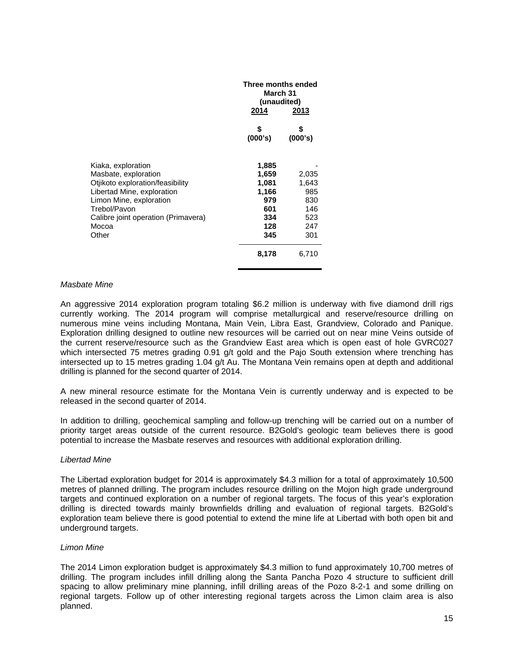| Three months ended<br>March 31<br>(unaudited)<br>2014<br>2013 |         |
|---------------------------------------------------------------|---------|
| \$                                                            | \$      |
| (000's)                                                       | (000's) |
| 1,885                                                         | 2,035   |
| 1,659                                                         | 1,643   |
| 1,081                                                         | 985     |
| 1,166                                                         | 830     |
| 979                                                           | 146     |
| 601                                                           | 523     |
| 334                                                           | 247     |
| 128                                                           | 301     |
| 345                                                           | 6,710   |
|                                                               | 8,178   |

#### *Masbate Mine*

An aggressive 2014 exploration program totaling \$6.2 million is underway with five diamond drill rigs currently working. The 2014 program will comprise metallurgical and reserve/resource drilling on numerous mine veins including Montana, Main Vein, Libra East, Grandview, Colorado and Panique. Exploration drilling designed to outline new resources will be carried out on near mine Veins outside of the current reserve/resource such as the Grandview East area which is open east of hole GVRC027 which intersected 75 metres grading 0.91 g/t gold and the Paio South extension where trenching has intersected up to 15 metres grading 1.04 g/t Au. The Montana Vein remains open at depth and additional drilling is planned for the second quarter of 2014.

A new mineral resource estimate for the Montana Vein is currently underway and is expected to be released in the second quarter of 2014.

In addition to drilling, geochemical sampling and follow-up trenching will be carried out on a number of priority target areas outside of the current resource. B2Gold's geologic team believes there is good potential to increase the Masbate reserves and resources with additional exploration drilling.

#### *Libertad Mine*

The Libertad exploration budget for 2014 is approximately \$4.3 million for a total of approximately 10,500 metres of planned drilling. The program includes resource drilling on the Mojon high grade underground targets and continued exploration on a number of regional targets. The focus of this year's exploration drilling is directed towards mainly brownfields drilling and evaluation of regional targets. B2Gold's exploration team believe there is good potential to extend the mine life at Libertad with both open bit and underground targets.

#### *Limon Mine*

The 2014 Limon exploration budget is approximately \$4.3 million to fund approximately 10,700 metres of drilling. The program includes infill drilling along the Santa Pancha Pozo 4 structure to sufficient drill spacing to allow preliminary mine planning, infill drilling areas of the Pozo 8-2-1 and some drilling on regional targets. Follow up of other interesting regional targets across the Limon claim area is also planned.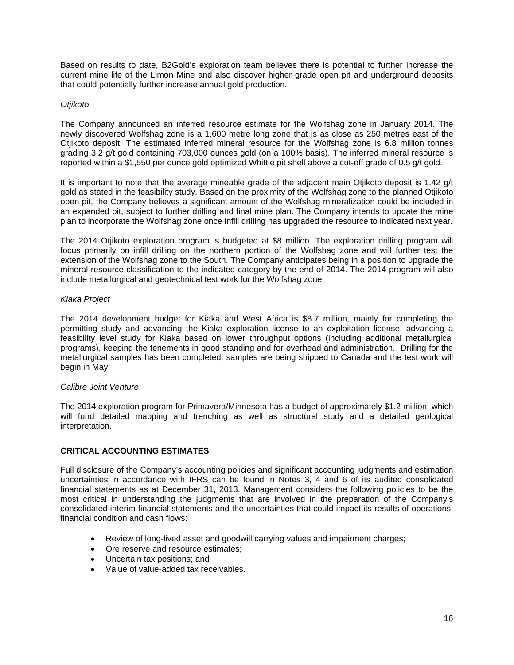Based on results to date, B2Gold's exploration team believes there is potential to further increase the current mine life of the Limon Mine and also discover higher grade open pit and underground deposits that could potentially further increase annual gold production.

#### *Otjikoto*

The Company announced an inferred resource estimate for the Wolfshag zone in January 2014. The newly discovered Wolfshag zone is a 1,600 metre long zone that is as close as 250 metres east of the Otjikoto deposit. The estimated inferred mineral resource for the Wolfshag zone is 6.8 million tonnes grading 3.2 g/t gold containing 703,000 ounces gold (on a 100% basis). The inferred mineral resource is reported within a \$1,550 per ounce gold optimized Whittle pit shell above a cut-off grade of 0.5 g/t gold.

It is important to note that the average mineable grade of the adjacent main Otjikoto deposit is 1.42 g/t gold as stated in the feasibility study. Based on the proximity of the Wolfshag zone to the planned Otjikoto open pit, the Company believes a significant amount of the Wolfshag mineralization could be included in an expanded pit, subject to further drilling and final mine plan. The Company intends to update the mine plan to incorporate the Wolfshag zone once infill drilling has upgraded the resource to indicated next year.

The 2014 Otjikoto exploration program is budgeted at \$8 million. The exploration drilling program will focus primarily on infill drilling on the northern portion of the Wolfshag zone and will further test the extension of the Wolfshag zone to the South. The Company anticipates being in a position to upgrade the mineral resource classification to the indicated category by the end of 2014. The 2014 program will also include metallurgical and geotechnical test work for the Wolfshag zone.

# *Kiaka Project*

The 2014 development budget for Kiaka and West Africa is \$8.7 million, mainly for completing the permitting study and advancing the Kiaka exploration license to an exploitation license, advancing a feasibility level study for Kiaka based on lower throughput options (including additional metallurgical programs), keeping the tenements in good standing and for overhead and administration. Drilling for the metallurgical samples has been completed, samples are being shipped to Canada and the test work will begin in May.

#### *Calibre Joint Venture*

The 2014 exploration program for Primavera/Minnesota has a budget of approximately \$1.2 million, which will fund detailed mapping and trenching as well as structural study and a detailed geological interpretation.

# **CRITICAL ACCOUNTING ESTIMATES**

Full disclosure of the Company's accounting policies and significant accounting judgments and estimation uncertainties in accordance with IFRS can be found in Notes 3, 4 and 6 of its audited consolidated financial statements as at December 31, 2013. Management considers the following policies to be the most critical in understanding the judgments that are involved in the preparation of the Company's consolidated interim financial statements and the uncertainties that could impact its results of operations, financial condition and cash flows:

- Review of long-lived asset and goodwill carrying values and impairment charges;
- Ore reserve and resource estimates;
- Uncertain tax positions; and
- Value of value-added tax receivables.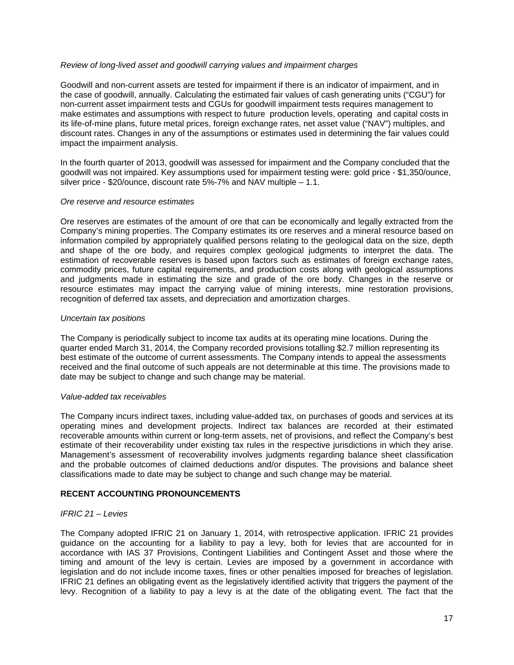# *Review of long-lived asset and goodwill carrying values and impairment charges*

Goodwill and non-current assets are tested for impairment if there is an indicator of impairment, and in the case of goodwill, annually. Calculating the estimated fair values of cash generating units ("CGU") for non-current asset impairment tests and CGUs for goodwill impairment tests requires management to make estimates and assumptions with respect to future production levels, operating and capital costs in its life-of-mine plans, future metal prices, foreign exchange rates, net asset value ("NAV") multiples, and discount rates. Changes in any of the assumptions or estimates used in determining the fair values could impact the impairment analysis.

In the fourth quarter of 2013, goodwill was assessed for impairment and the Company concluded that the goodwill was not impaired. Key assumptions used for impairment testing were: gold price - \$1,350/ounce, silver price - \$20/ounce, discount rate 5%-7% and NAV multiple – 1.1.

#### *Ore reserve and resource estimates*

Ore reserves are estimates of the amount of ore that can be economically and legally extracted from the Company's mining properties. The Company estimates its ore reserves and a mineral resource based on information compiled by appropriately qualified persons relating to the geological data on the size, depth and shape of the ore body, and requires complex geological judgments to interpret the data. The estimation of recoverable reserves is based upon factors such as estimates of foreign exchange rates, commodity prices, future capital requirements, and production costs along with geological assumptions and judgments made in estimating the size and grade of the ore body. Changes in the reserve or resource estimates may impact the carrying value of mining interests, mine restoration provisions, recognition of deferred tax assets, and depreciation and amortization charges.

#### *Uncertain tax positions*

The Company is periodically subject to income tax audits at its operating mine locations. During the quarter ended March 31, 2014, the Company recorded provisions totalling \$2.7 million representing its best estimate of the outcome of current assessments. The Company intends to appeal the assessments received and the final outcome of such appeals are not determinable at this time. The provisions made to date may be subject to change and such change may be material.

#### *Value-added tax receivables*

The Company incurs indirect taxes, including value-added tax, on purchases of goods and services at its operating mines and development projects. Indirect tax balances are recorded at their estimated recoverable amounts within current or long-term assets, net of provisions, and reflect the Company's best estimate of their recoverability under existing tax rules in the respective jurisdictions in which they arise. Management's assessment of recoverability involves judgments regarding balance sheet classification and the probable outcomes of claimed deductions and/or disputes. The provisions and balance sheet classifications made to date may be subject to change and such change may be material.

# **RECENT ACCOUNTING PRONOUNCEMENTS**

#### *IFRIC 21 – Levies*

The Company adopted IFRIC 21 on January 1, 2014, with retrospective application. IFRIC 21 provides guidance on the accounting for a liability to pay a levy, both for levies that are accounted for in accordance with IAS 37 Provisions, Contingent Liabilities and Contingent Asset and those where the timing and amount of the levy is certain. Levies are imposed by a government in accordance with legislation and do not include income taxes, fines or other penalties imposed for breaches of legislation. IFRIC 21 defines an obligating event as the legislatively identified activity that triggers the payment of the levy. Recognition of a liability to pay a levy is at the date of the obligating event. The fact that the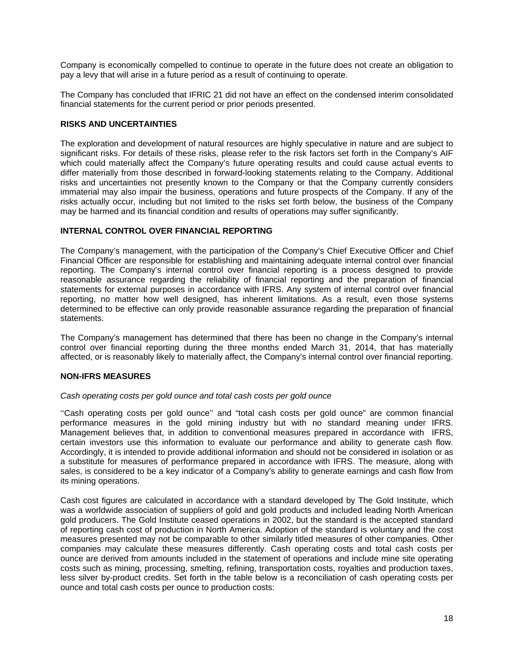Company is economically compelled to continue to operate in the future does not create an obligation to pay a levy that will arise in a future period as a result of continuing to operate.

The Company has concluded that IFRIC 21 did not have an effect on the condensed interim consolidated financial statements for the current period or prior periods presented.

# **RISKS AND UNCERTAINTIES**

The exploration and development of natural resources are highly speculative in nature and are subject to significant risks. For details of these risks, please refer to the risk factors set forth in the Company's AIF which could materially affect the Company's future operating results and could cause actual events to differ materially from those described in forward-looking statements relating to the Company. Additional risks and uncertainties not presently known to the Company or that the Company currently considers immaterial may also impair the business, operations and future prospects of the Company. If any of the risks actually occur, including but not limited to the risks set forth below, the business of the Company may be harmed and its financial condition and results of operations may suffer significantly.

# **INTERNAL CONTROL OVER FINANCIAL REPORTING**

The Company's management, with the participation of the Company's Chief Executive Officer and Chief Financial Officer are responsible for establishing and maintaining adequate internal control over financial reporting. The Company's internal control over financial reporting is a process designed to provide reasonable assurance regarding the reliability of financial reporting and the preparation of financial statements for external purposes in accordance with IFRS. Any system of internal control over financial reporting, no matter how well designed, has inherent limitations. As a result, even those systems determined to be effective can only provide reasonable assurance regarding the preparation of financial statements.

The Company's management has determined that there has been no change in the Company's internal control over financial reporting during the three months ended March 31, 2014, that has materially affected, or is reasonably likely to materially affect, the Company's internal control over financial reporting.

#### **NON-IFRS MEASURES**

#### *Cash operating costs per gold ounce and total cash costs per gold ounce*

''Cash operating costs per gold ounce'' and "total cash costs per gold ounce" are common financial performance measures in the gold mining industry but with no standard meaning under IFRS. Management believes that, in addition to conventional measures prepared in accordance with IFRS, certain investors use this information to evaluate our performance and ability to generate cash flow. Accordingly, it is intended to provide additional information and should not be considered in isolation or as a substitute for measures of performance prepared in accordance with IFRS. The measure, along with sales, is considered to be a key indicator of a Company's ability to generate earnings and cash flow from its mining operations.

Cash cost figures are calculated in accordance with a standard developed by The Gold Institute, which was a worldwide association of suppliers of gold and gold products and included leading North American gold producers. The Gold Institute ceased operations in 2002, but the standard is the accepted standard of reporting cash cost of production in North America. Adoption of the standard is voluntary and the cost measures presented may not be comparable to other similarly titled measures of other companies. Other companies may calculate these measures differently. Cash operating costs and total cash costs per ounce are derived from amounts included in the statement of operations and include mine site operating costs such as mining, processing, smelting, refining, transportation costs, royalties and production taxes, less silver by-product credits. Set forth in the table below is a reconciliation of cash operating costs per ounce and total cash costs per ounce to production costs: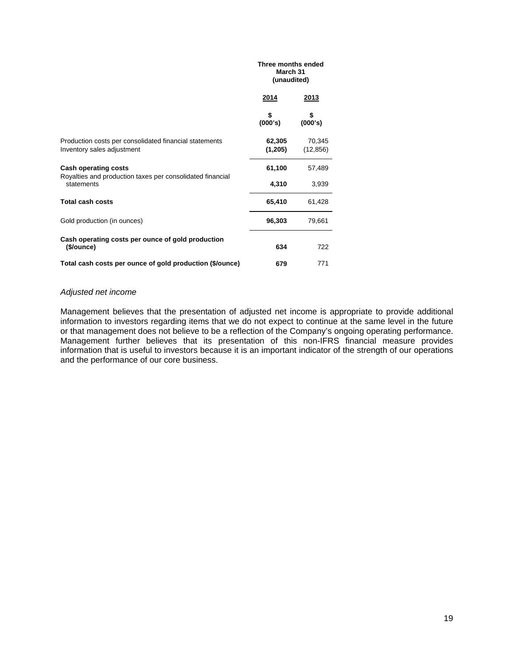#### **Three months ended March 31 (unaudited) 2014 2013**

|                                                                         | \$      | \$        |
|-------------------------------------------------------------------------|---------|-----------|
|                                                                         | (000's) | (000's)   |
| Production costs per consolidated financial statements                  | 62,305  | 70,345    |
| Inventory sales adjustment                                              | (1,205) | (12, 856) |
| Cash operating costs                                                    | 61,100  | 57,489    |
| Royalties and production taxes per consolidated financial<br>statements | 4,310   | 3,939     |
| <b>Total cash costs</b>                                                 | 65,410  | 61,428    |
| Gold production (in ounces)                                             | 96,303  | 79,661    |
| Cash operating costs per ounce of gold production<br>(\$/ounce)         | 634     | 722       |
| Total cash costs per ounce of gold production (\$/ounce)                | 679     | 771       |

# *Adjusted net income*

Management believes that the presentation of adjusted net income is appropriate to provide additional information to investors regarding items that we do not expect to continue at the same level in the future or that management does not believe to be a reflection of the Company's ongoing operating performance. Management further believes that its presentation of this non-IFRS financial measure provides information that is useful to investors because it is an important indicator of the strength of our operations and the performance of our core business.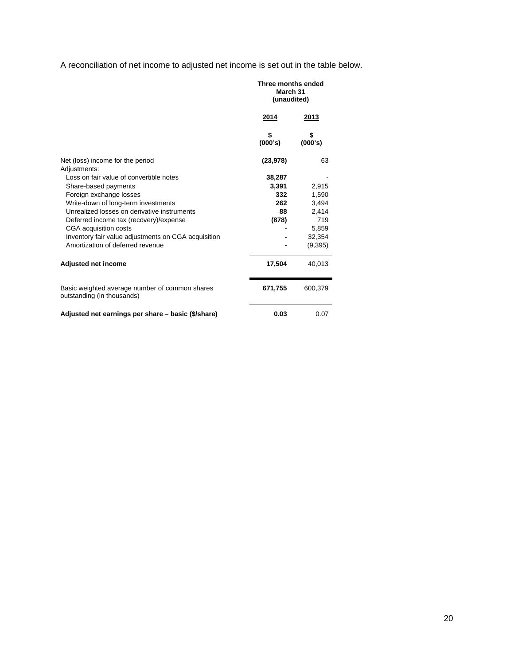A reconciliation of net income to adjusted net income is set out in the table below.

|                                                                              | Three months ended<br>March 31<br>(unaudited) |               |  |
|------------------------------------------------------------------------------|-----------------------------------------------|---------------|--|
|                                                                              | <u>2014</u>                                   | 2013          |  |
|                                                                              | \$<br>(000's)                                 | \$<br>(000's) |  |
| Net (loss) income for the period<br>Adjustments:                             | (23, 978)                                     | 63            |  |
| Loss on fair value of convertible notes                                      | 38,287                                        |               |  |
| Share-based payments                                                         | 3,391                                         | 2,915         |  |
| Foreign exchange losses                                                      | 332                                           | 1,590         |  |
| Write-down of long-term investments                                          | 262                                           | 3,494         |  |
| Unrealized losses on derivative instruments                                  | 88                                            | 2,414         |  |
| Deferred income tax (recovery)/expense                                       | (878)                                         | 719           |  |
| CGA acquisition costs                                                        |                                               | 5,859         |  |
| Inventory fair value adjustments on CGA acquisition                          |                                               | 32,354        |  |
| Amortization of deferred revenue                                             |                                               | (9,395)       |  |
| Adjusted net income                                                          | 17,504                                        | 40,013        |  |
| Basic weighted average number of common shares<br>outstanding (in thousands) | 671,755                                       | 600,379       |  |
| Adjusted net earnings per share - basic (\$/share)                           | 0.03                                          | 0.07          |  |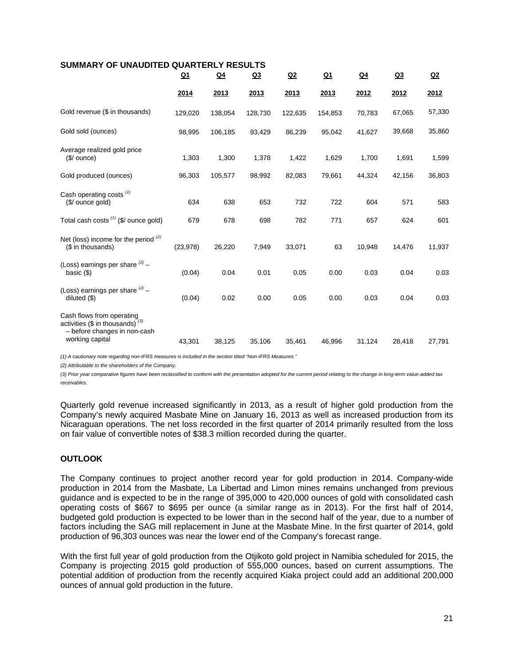| SUMMARY OF UNAUDITED QUARTERLY RESULTS                                                                             |           |         |                |         |           |        |                |                |
|--------------------------------------------------------------------------------------------------------------------|-----------|---------|----------------|---------|-----------|--------|----------------|----------------|
|                                                                                                                    | <u>Q1</u> | $Q_4$   | Q <sub>3</sub> | Q2      | <u>Q1</u> | $Q_4$  | Q <sub>3</sub> | Q <sub>2</sub> |
|                                                                                                                    | 2014      | 2013    | 2013           | 2013    | 2013      | 2012   | 2012           | 2012           |
| Gold revenue (\$ in thousands)                                                                                     | 129,020   | 138,054 | 128,730        | 122,635 | 154,853   | 70,783 | 67,065         | 57,330         |
| Gold sold (ounces)                                                                                                 | 98,995    | 106,185 | 93,429         | 86,239  | 95,042    | 41,627 | 39,668         | 35,860         |
| Average realized gold price<br>$($/$ ounce)                                                                        | 1,303     | 1,300   | 1,378          | 1,422   | 1,629     | 1,700  | 1,691          | 1,599          |
| Gold produced (ounces)                                                                                             | 96,303    | 105,577 | 98,992         | 82,083  | 79,661    | 44,324 | 42,156         | 36,803         |
| Cash operating costs <sup>(1)</sup><br>(\$/ ounce gold)                                                            | 634       | 638     | 653            | 732     | 722       | 604    | 571            | 583            |
| Total cash costs $(1)$ (\$/ ounce gold)                                                                            | 679       | 678     | 698            | 782     | 771       | 657    | 624            | 601            |
| Net (loss) income for the period $(2)$<br>(\$ in thousands)                                                        | (23, 978) | 26,220  | 7,949          | 33,071  | 63        | 10,948 | 14,476         | 11,937         |
| (Loss) earnings per share $(2)$ -<br>basic $($                                                                     | (0.04)    | 0.04    | 0.01           | 0.05    | 0.00      | 0.03   | 0.04           | 0.03           |
| (Loss) earnings per share $(2)$ -<br>diluted $($ \$)                                                               | (0.04)    | 0.02    | 0.00           | 0.05    | 0.00      | 0.03   | 0.04           | 0.03           |
| Cash flows from operating<br>activities (\$ in thousands) $(3)$<br>- before changes in non-cash<br>working capital | 43,301    | 38,125  | 35,106         | 35,461  | 46,996    | 31,124 | 28.418         | 27,791         |
|                                                                                                                    |           |         |                |         |           |        |                |                |

*(1) A cautionary note regarding non-IFRS measures is included in the section titled "Non-IFRS Measures."* 

*(2) Attributable to the shareholders of the Company.* 

*(3) Prior year comparative figures have been reclassified to conform with the presentation adopted for the current period relating to the change in long-term value-added tax receivables.* 

Quarterly gold revenue increased significantly in 2013, as a result of higher gold production from the Company's newly acquired Masbate Mine on January 16, 2013 as well as increased production from its Nicaraguan operations. The net loss recorded in the first quarter of 2014 primarily resulted from the loss on fair value of convertible notes of \$38.3 million recorded during the quarter.

# **OUTLOOK**

The Company continues to project another record year for gold production in 2014. Company-wide production in 2014 from the Masbate, La Libertad and Limon mines remains unchanged from previous guidance and is expected to be in the range of 395,000 to 420,000 ounces of gold with consolidated cash operating costs of \$667 to \$695 per ounce (a similar range as in 2013). For the first half of 2014, budgeted gold production is expected to be lower than in the second half of the year, due to a number of factors including the SAG mill replacement in June at the Masbate Mine. In the first quarter of 2014, gold production of 96,303 ounces was near the lower end of the Company's forecast range.

With the first full year of gold production from the Otijkoto gold project in Namibia scheduled for 2015, the Company is projecting 2015 gold production of 555,000 ounces, based on current assumptions. The potential addition of production from the recently acquired Kiaka project could add an additional 200,000 ounces of annual gold production in the future.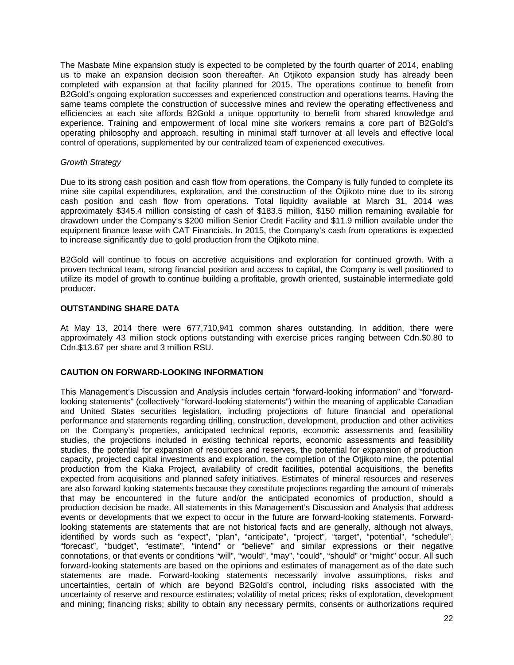The Masbate Mine expansion study is expected to be completed by the fourth quarter of 2014, enabling us to make an expansion decision soon thereafter. An Otjikoto expansion study has already been completed with expansion at that facility planned for 2015. The operations continue to benefit from B2Gold's ongoing exploration successes and experienced construction and operations teams. Having the same teams complete the construction of successive mines and review the operating effectiveness and efficiencies at each site affords B2Gold a unique opportunity to benefit from shared knowledge and experience. Training and empowerment of local mine site workers remains a core part of B2Gold's operating philosophy and approach, resulting in minimal staff turnover at all levels and effective local control of operations, supplemented by our centralized team of experienced executives.

# *Growth Strategy*

Due to its strong cash position and cash flow from operations, the Company is fully funded to complete its mine site capital expenditures, exploration, and the construction of the Otjikoto mine due to its strong cash position and cash flow from operations. Total liquidity available at March 31, 2014 was approximately \$345.4 million consisting of cash of \$183.5 million, \$150 million remaining available for drawdown under the Company's \$200 million Senior Credit Facility and \$11.9 million available under the equipment finance lease with CAT Financials. In 2015, the Company's cash from operations is expected to increase significantly due to gold production from the Otjikoto mine.

B2Gold will continue to focus on accretive acquisitions and exploration for continued growth. With a proven technical team, strong financial position and access to capital, the Company is well positioned to utilize its model of growth to continue building a profitable, growth oriented, sustainable intermediate gold producer.

# **OUTSTANDING SHARE DATA**

At May 13, 2014 there were 677,710,941 common shares outstanding. In addition, there were approximately 43 million stock options outstanding with exercise prices ranging between Cdn.\$0.80 to Cdn.\$13.67 per share and 3 million RSU.

# **CAUTION ON FORWARD-LOOKING INFORMATION**

This Management's Discussion and Analysis includes certain "forward-looking information" and "forwardlooking statements" (collectively "forward-looking statements") within the meaning of applicable Canadian and United States securities legislation, including projections of future financial and operational performance and statements regarding drilling, construction, development, production and other activities on the Company's properties, anticipated technical reports, economic assessments and feasibility studies, the projections included in existing technical reports, economic assessments and feasibility studies, the potential for expansion of resources and reserves, the potential for expansion of production capacity, projected capital investments and exploration, the completion of the Otjikoto mine, the potential production from the Kiaka Project, availability of credit facilities, potential acquisitions, the benefits expected from acquisitions and planned safety initiatives. Estimates of mineral resources and reserves are also forward looking statements because they constitute projections regarding the amount of minerals that may be encountered in the future and/or the anticipated economics of production, should a production decision be made. All statements in this Management's Discussion and Analysis that address events or developments that we expect to occur in the future are forward-looking statements. Forwardlooking statements are statements that are not historical facts and are generally, although not always, identified by words such as "expect", "plan", "anticipate", "project", "target", "potential", "schedule", "forecast", "budget", "estimate", "intend" or "believe" and similar expressions or their negative connotations, or that events or conditions "will", "would", "may", "could", "should" or "might" occur. All such forward-looking statements are based on the opinions and estimates of management as of the date such statements are made. Forward-looking statements necessarily involve assumptions, risks and uncertainties, certain of which are beyond B2Gold's control, including risks associated with the uncertainty of reserve and resource estimates; volatility of metal prices; risks of exploration, development and mining; financing risks; ability to obtain any necessary permits, consents or authorizations required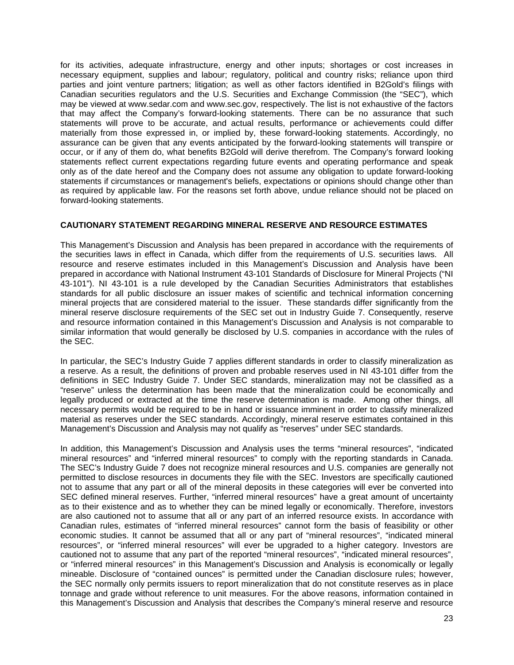for its activities, adequate infrastructure, energy and other inputs; shortages or cost increases in necessary equipment, supplies and labour; regulatory, political and country risks; reliance upon third parties and joint venture partners; litigation; as well as other factors identified in B2Gold's filings with Canadian securities regulators and the U.S. Securities and Exchange Commission (the "SEC"), which may be viewed at www.sedar.com and www.sec.gov, respectively. The list is not exhaustive of the factors that may affect the Company's forward-looking statements. There can be no assurance that such statements will prove to be accurate, and actual results, performance or achievements could differ materially from those expressed in, or implied by, these forward-looking statements. Accordingly, no assurance can be given that any events anticipated by the forward-looking statements will transpire or occur, or if any of them do, what benefits B2Gold will derive therefrom. The Company's forward looking statements reflect current expectations regarding future events and operating performance and speak only as of the date hereof and the Company does not assume any obligation to update forward-looking statements if circumstances or management's beliefs, expectations or opinions should change other than as required by applicable law. For the reasons set forth above, undue reliance should not be placed on forward-looking statements.

# **CAUTIONARY STATEMENT REGARDING MINERAL RESERVE AND RESOURCE ESTIMATES**

This Management's Discussion and Analysis has been prepared in accordance with the requirements of the securities laws in effect in Canada, which differ from the requirements of U.S. securities laws. All resource and reserve estimates included in this Management's Discussion and Analysis have been prepared in accordance with National Instrument 43-101 Standards of Disclosure for Mineral Projects ("NI 43-101"). NI 43-101 is a rule developed by the Canadian Securities Administrators that establishes standards for all public disclosure an issuer makes of scientific and technical information concerning mineral projects that are considered material to the issuer. These standards differ significantly from the mineral reserve disclosure requirements of the SEC set out in Industry Guide 7. Consequently, reserve and resource information contained in this Management's Discussion and Analysis is not comparable to similar information that would generally be disclosed by U.S. companies in accordance with the rules of the SEC.

In particular, the SEC's Industry Guide 7 applies different standards in order to classify mineralization as a reserve. As a result, the definitions of proven and probable reserves used in NI 43-101 differ from the definitions in SEC Industry Guide 7. Under SEC standards, mineralization may not be classified as a "reserve" unless the determination has been made that the mineralization could be economically and legally produced or extracted at the time the reserve determination is made. Among other things, all necessary permits would be required to be in hand or issuance imminent in order to classify mineralized material as reserves under the SEC standards. Accordingly, mineral reserve estimates contained in this Management's Discussion and Analysis may not qualify as "reserves" under SEC standards.

In addition, this Management's Discussion and Analysis uses the terms "mineral resources", "indicated mineral resources" and "inferred mineral resources" to comply with the reporting standards in Canada. The SEC's Industry Guide 7 does not recognize mineral resources and U.S. companies are generally not permitted to disclose resources in documents they file with the SEC. Investors are specifically cautioned not to assume that any part or all of the mineral deposits in these categories will ever be converted into SEC defined mineral reserves. Further, "inferred mineral resources" have a great amount of uncertainty as to their existence and as to whether they can be mined legally or economically. Therefore, investors are also cautioned not to assume that all or any part of an inferred resource exists. In accordance with Canadian rules, estimates of "inferred mineral resources" cannot form the basis of feasibility or other economic studies. It cannot be assumed that all or any part of "mineral resources", "indicated mineral resources", or "inferred mineral resources" will ever be upgraded to a higher category. Investors are cautioned not to assume that any part of the reported "mineral resources", "indicated mineral resources", or "inferred mineral resources" in this Management's Discussion and Analysis is economically or legally mineable. Disclosure of "contained ounces" is permitted under the Canadian disclosure rules; however, the SEC normally only permits issuers to report mineralization that do not constitute reserves as in place tonnage and grade without reference to unit measures. For the above reasons, information contained in this Management's Discussion and Analysis that describes the Company's mineral reserve and resource